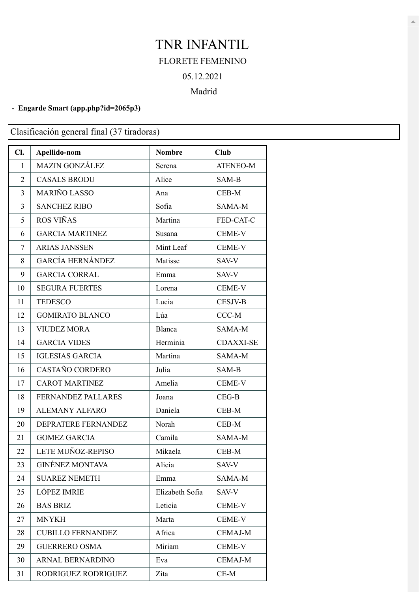## TNR INFANTIL FLORETE FEMENINO 05.12.2021

## Madrid

## **- Engarde Smart [\(app.php?id=2065p3\)](https://engarde-service.com/app.php?id=2065p3)**

Clasificación general final (37 tiradoras)

| Cl.            | Apellido-nom              | <b>Nombre</b>   | <b>Club</b>      |
|----------------|---------------------------|-----------------|------------------|
| 1              | <b>MAZIN GONZÁLEZ</b>     | Serena          | <b>ATENEO-M</b>  |
| 2              | <b>CASALS BRODU</b>       | Alice           | SAM-B            |
| $\overline{3}$ | <b>MARIÑO LASSO</b>       | Ana             | CEB-M            |
| 3              | <b>SANCHEZ RIBO</b>       | Sofia           | SAMA-M           |
| 5              | ROS VIÑAS                 | Martina         | FED-CAT-C        |
| 6              | <b>GARCIA MARTINEZ</b>    | Susana          | <b>CEME-V</b>    |
| 7              | <b>ARIAS JANSSEN</b>      | Mint Leaf       | CEME-V           |
| 8              | <b>GARCÍA HERNÁNDEZ</b>   | Matisse         | SAV-V            |
| 9              | <b>GARCIA CORRAL</b>      | Emma            | SAV-V            |
| 10             | <b>SEGURA FUERTES</b>     | Lorena          | CEME-V           |
| 11             | <b>TEDESCO</b>            | Lucia           | <b>CESJV-B</b>   |
| 12             | <b>GOMIRATO BLANCO</b>    | Lúa             | $CCC-M$          |
| 13             | <b>VIUDEZ MORA</b>        | Blanca          | SAMA-M           |
| 14             | <b>GARCIA VIDES</b>       | Herminia        | <b>CDAXXI-SE</b> |
| 15             | <b>IGLESIAS GARCIA</b>    | Martina         | SAMA-M           |
| 16             | CASTAÑO CORDERO           | Julia           | SAM-B            |
| 17             | <b>CAROT MARTINEZ</b>     | Amelia          | CEME-V           |
| 18             | <b>FERNANDEZ PALLARES</b> | Joana           | $CEG-B$          |
| 19             | <b>ALEMANY ALFARO</b>     | Daniela         | CEB-M            |
| 20             | DEPRATERE FERNANDEZ       | Norah           | $CEB-M$          |
| 21             | <b>GOMEZ GARCIA</b>       | Camila          | SAMA-M           |
| 22             | LETE MUÑOZ-REPISO         | Mikaela         | $CEB-M$          |
| 23             | <b>GINÉNEZ MONTAVA</b>    | Alicia          | SAV-V            |
| 24             | <b>SUAREZ NEMETH</b>      | Emma            | SAMA-M           |
| 25             | <b>LÓPEZ IMRIE</b>        | Elizabeth Sofia | SAV-V            |
| 26             | <b>BAS BRIZ</b>           | Leticia         | <b>CEME-V</b>    |
| 27             | <b>MNYKH</b>              | Marta           | <b>CEME-V</b>    |
| 28             | <b>CUBILLO FERNANDEZ</b>  | Africa          | <b>CEMAJ-M</b>   |
| 29             | <b>GUERRERO OSMA</b>      | Miriam          | <b>CEME-V</b>    |
| 30             | ARNAL BERNARDINO          | Eva             | <b>CEMAJ-M</b>   |
| 31             | RODRIGUEZ RODRIGUEZ       | Zita            | $CE-M$           |